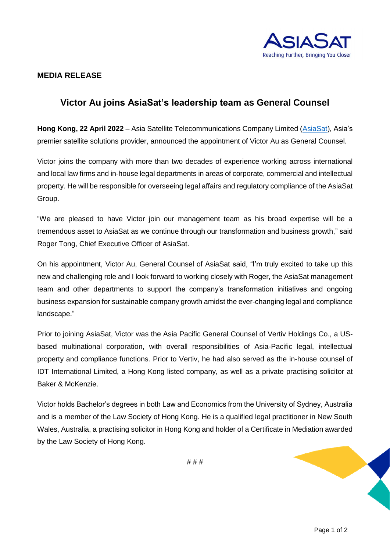

## **MEDIA RELEASE**

## **Victor Au joins AsiaSat's leadership team as General Counsel**

**Hong Kong, 22 April 2022** – Asia Satellite Telecommunications Company Limited [\(AsiaSat\)](https://www.asiasat.com/), Asia's premier satellite solutions provider, announced the appointment of Victor Au as General Counsel.

Victor joins the company with more than two decades of experience working across international and local law firms and in-house legal departments in areas of corporate, commercial and intellectual property. He will be responsible for overseeing legal affairs and regulatory compliance of the AsiaSat Group.

"We are pleased to have Victor join our management team as his broad expertise will be a tremendous asset to AsiaSat as we continue through our transformation and business growth," said Roger Tong, Chief Executive Officer of AsiaSat.

On his appointment, Victor Au, General Counsel of AsiaSat said, "I'm truly excited to take up this new and challenging role and I look forward to working closely with Roger, the AsiaSat management team and other departments to support the company's transformation initiatives and ongoing business expansion for sustainable company growth amidst the ever-changing legal and compliance landscape."

Prior to joining AsiaSat, Victor was the Asia Pacific General Counsel of Vertiv Holdings Co., a USbased multinational corporation, with overall responsibilities of Asia-Pacific legal, intellectual property and compliance functions. Prior to Vertiv, he had also served as the in-house counsel of IDT International Limited, a Hong Kong listed company, as well as a private practising solicitor at Baker & McKenzie.

Victor holds Bachelor's degrees in both Law and Economics from the University of Sydney, Australia and is a member of the Law Society of Hong Kong. He is a qualified legal practitioner in New South Wales, Australia, a practising solicitor in Hong Kong and holder of a Certificate in Mediation awarded by the Law Society of Hong Kong.

# # #